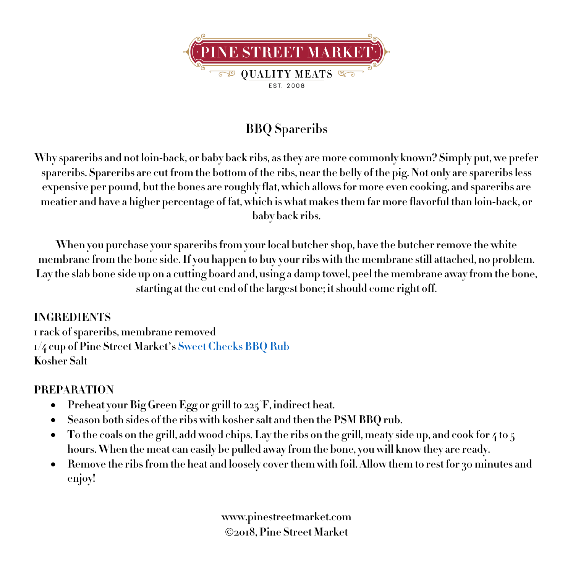

## **BBQ Spareribs**

**Why spareribs and not loin-back, or baby back ribs, as they are more commonly known? Simply put, we prefer spareribs. Spareribs are cut from the bottom of the ribs, near the belly of the pig. Not only are spareribs less expensive per pound, but the bones are roughly flat, which allowsfor more even cooking, and spareribs are meatier and have a higher percentage of fat, which is what makes them far more flavorful than loin-back, or baby back ribs.**

**When you purchase your spareribs from your local butcher shop, have the butcher remove the white membrane from the bone side. If you happen to buy your ribs with the membrane still attached, no problem. Lay the slab bone side up on a cutting board and, using a damp towel, peel the membrane away from the bone, starting at the cut end of the largest bone; it should come right off.**

## **INGREDIENTS**

**1 rack ofspareribs, membrane removed 1/4 cup of Pine Street Market**'**s Sweet Cheeks BBQ Rub Kosher Salt**

## **PREPARATION**

- **Preheat your Big Green Egg or grill to 225°F, indirect heat.**
- **Season both sides of the ribs with kosher salt and then the PSM BBQ rub.**
- To the coals on the grill, add wood chips. Lay the ribs on the grill, meaty side up, and cook for 4 to 5 **hours. When the meat can easily be pulled away from the bone, you will know they are ready.**
- Remove the ribs from the heat and loosely cover them with foil. Allow them to rest for 30 minutes and **enjoy!**

**www.pinestreetmarket.com** Ó**2018, Pine Street Market**